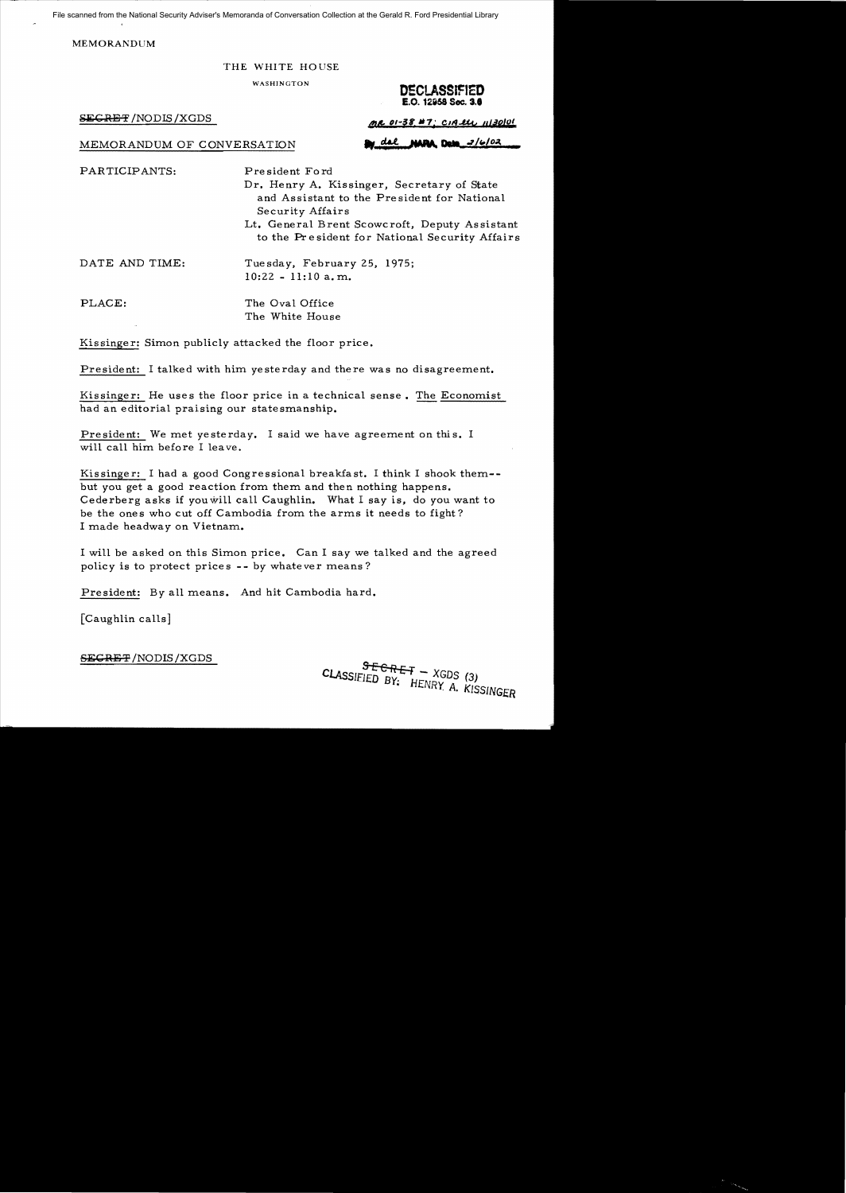File scanned from the National Security Adviser's Memoranda of Conversation Collection at the Gerald R. Ford Presidential Library

MEMORANDUM

## THE WHITE HOUSE

WASHINGTON **DECLASSIFIED** 

**SECRET'** /NODIS/XGDS **4!&** ()I-~t **"7; Cllq..g.y** *"t.ilOl***OI** 

MEMORANDUM OF CONVERSATION **by del MRA Dete** 2/6/02

PARTICIPANTS: President Ford

Dr. Henry A. Kissinger, Secretary of State and Assistant to the President for National Security Affairs

Lt. General Brent Scowcroft, Deputy Assistant to the Pr e sident for National Security Affairs

DATE AND TIME: Tuesday, February 25, 1975; 10:22 - 11:10 a. m.

PLACE: The Oval Office The White House

Kissinger: Simon publicly attacked the floor price.

President: I talked with him yesterday and there was no disagreement.

Kissinger: He uses the floor price in a technical sense. The Economist had an editorial praising our statesmanship.

President: We met yesterday. I said we have agreement on this. I will call him before I leave.

Kissinger: I had a good Congressional breakfast. I think I shook them but you get a good reaction from them and then nothing happens. Cederberg asks if you will call Caughlin. What I say is, do you want to be the ones who cut off Cambodia from the arms it needs to fight? I made headway on Vietnam.

I will be asked on this Simon price. Can I say we talked and the agreed policy is to protect prices **--** by whatever means?

President: *By* all means. And hit Cambodia hard.

[Caughlin calls]

**SECRE'F** /NODIS /XGDS

**E.O. 12i58 Sec. S.'** 

CLASSIFIED BY:  $HENRY$  A. KISSINGER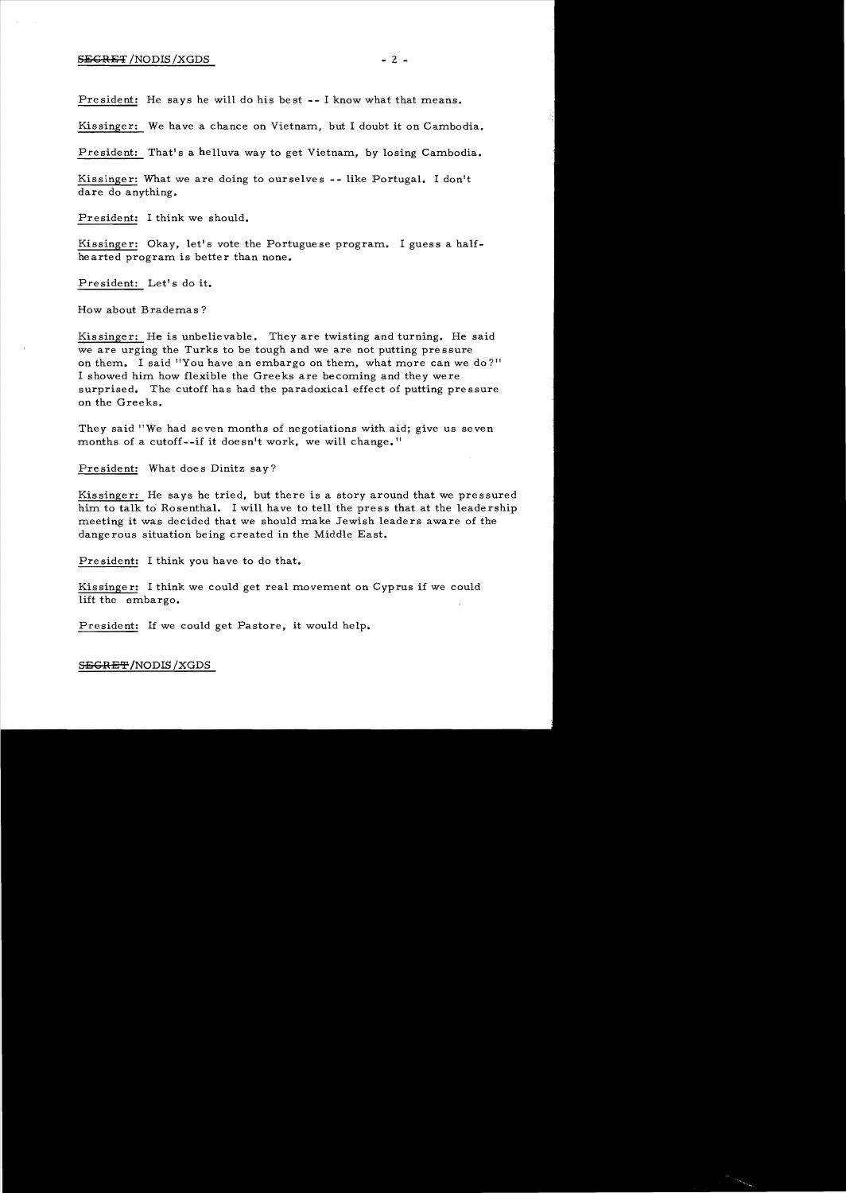## $S\to G$ :  $\to$  2 -  $\to$  2 -

President: He says he will do his best **--** I know what that means.

Kissinger: We have a chance on Vietnam, but I doubt it on Cambodia.

President: That's a helluva way to get Vietnam, *by* losing Cambodia.

Kissinger: What we are doing to ourselves **--** like Portugal. I don't dare do anything.

President: I think we should.

Kissinger: Okay, let's vote the Portuguese program. I guess a halfhearted program is better than none.

President: Let's do it.

How about Brademas?

Kissinger: He is unbelievable. They are twisting and turning. He said we are urging the Turks to be tough and we are not putting pressure on them. I said "You have an embargo on them, what more can we do?" I showed him how flexible the Greeks are becoming and they were surprised. The cutoff has had the paradoxical effect of putting pressure on the Greeks.

They said "We had seven months of negotiations with aid; give us seven months of a cutoff--if it doesn't work, we will change. "

President: What does Dinitz say?

Kissinger: He says he tried, but there is a story around that we pressured him to talk to Rosenthal. I will have to tell the press that at the leadership meeting it was decided that we should make Jewish leaders aware of the dange rous situation being created in the Middle East.

President: I think you have to do that.

Kissinger: I think we could get real movement on Cyprus if we could lift the embargo.

President: If we could get Pastore, it would help.

S<del>ECRET</del> /NODIS /XGDS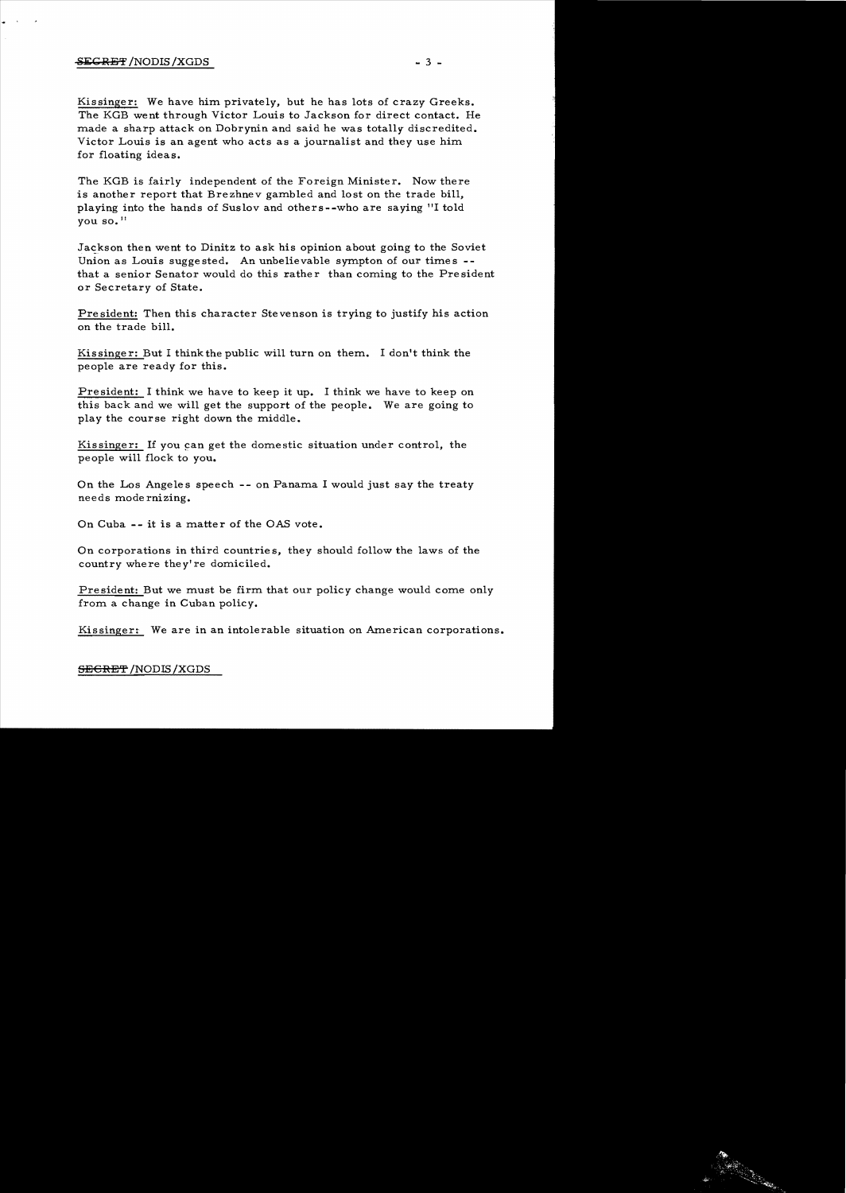## $S$ EGRET /NODIS /XGDS  $-3$  -

·

Kissinger: We have him privately, but he has lots of crazy Greeks. The KGB went through Victor Louis to Jackson for direct contact. He made a sharp attack on Dobrynin and said he was totally discredited. Victor Louis is an agent who acts as a journalist and they use him for floating ideas.

The KGB is fairly independent of the Foreign Minister. Now there is another report that Brezhnev gambled and lost on the trade bill, playing into the hands of Suslov and others--who are saying "I told you so. II

Jackson then went to Dinitz to ask his opinion about going to the Soviet Union as Louis suggested. An unbelievable sympton of our times  $$ that a senior Senator would do this rather than coming to the President or Secretary of State.

President: Then this character Stevenson is trying to justify his action on the trade bill.

Kissinger: But I think the public will turn on them. I don't think the people are ready for this.

President: I think we have to keep it up. I think we have to keep on this back and we will get the support of the people. We are going to play the course right down the middle.

Kissinger: If you can get the domestic situation under control, the people will flock to you.

On the Los Angeles speech -- on Panama I would just say the treaty needs mode rnizing.

On Cuba -- it is a matter of the OAS vote.

On corporations in third countrie s, they should follow the laws of the country where they're domiciled.

President: But we must be firm that our policy change would come only from a change in Cuban policy.

Kissinger: We are in an intolerable situation on American corporations.

SECRET/NODIS /XGDS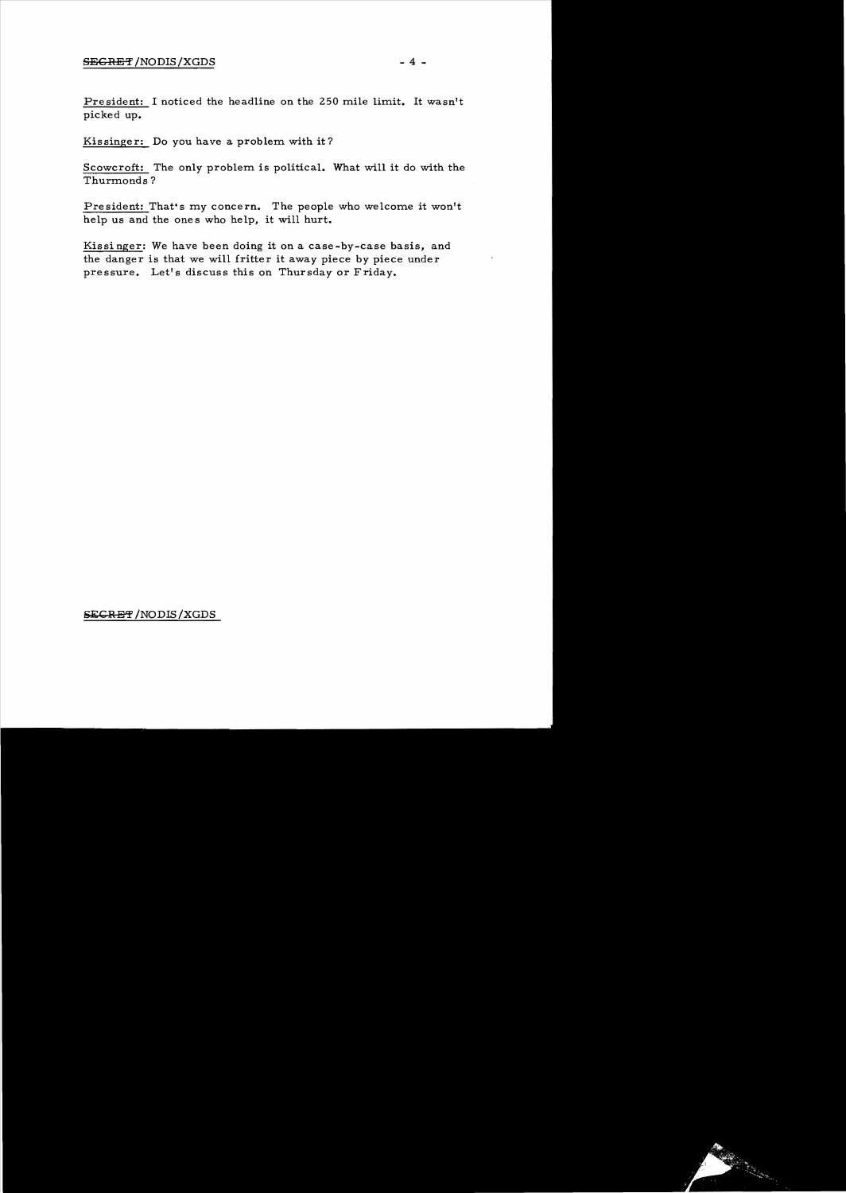President: I noticed the headline on the 250 mile limit. It wasn't picked up.

Kissinger: Do *you* have a problem with it?

Scowcroft: The only problem is political. What will it do with the Thurmonds?

President: That's my concern. The people who welcome it won't help us and the ones who help, it will hurt.

Kissi nger: We have been doing it on a case-by-case basis, and the danger is that we will fritter it away piece *by* piece under pressure. Let's discuss this on Thursday or Friday.

SECRET/NODIS/XGDS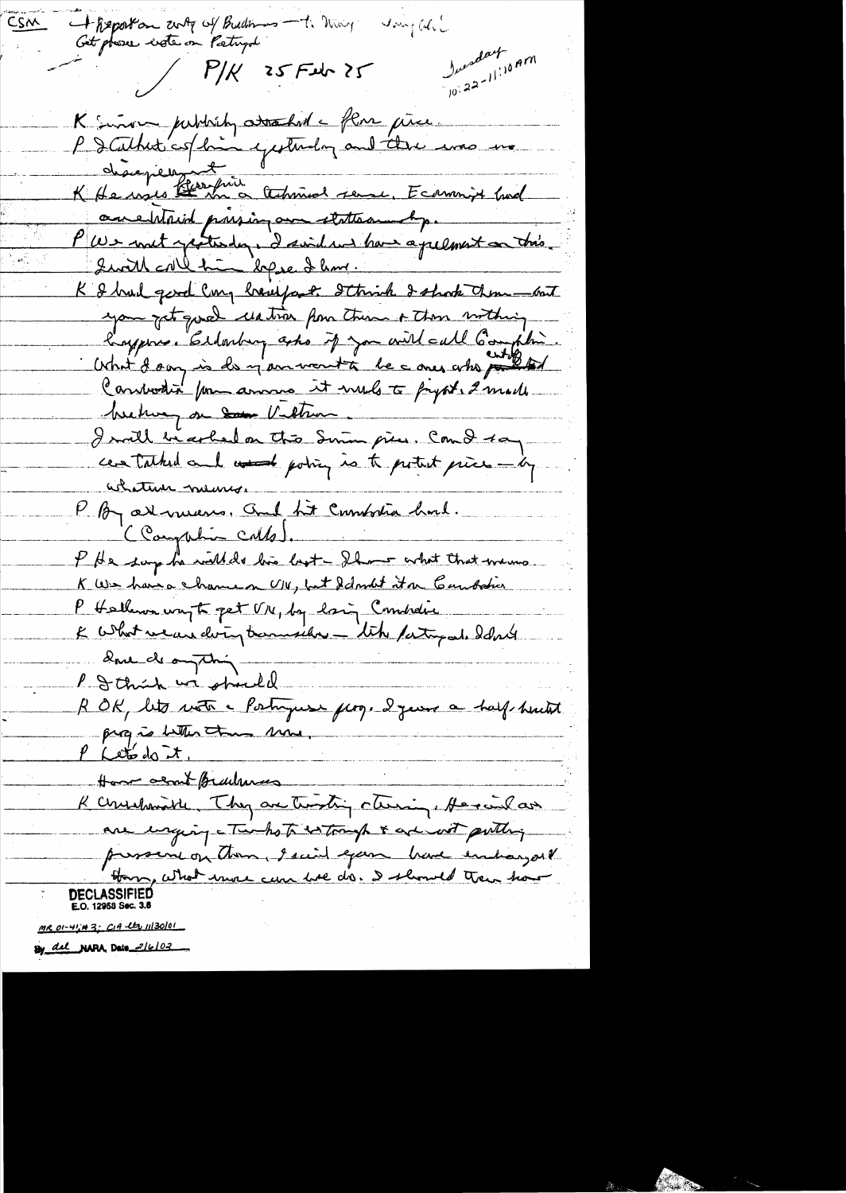+ Report on anty of Budines - 1. May CSM Ingali Get phose leter on Patryd Incredart  $(10^{122})^{110}$ am  $1/k$  25 Feb 25 K sinon publish attached a flore piece.<br>P désapéer espectively and the ense me ane Whaid passing on states and p. P We wit protection, I said und have a pelment on this. Swith call him kepse I have. K & had good Cong breefast. Strink I shook them - cost you get good untion for these & those withing longeries Eldonburg asho if you will call Complie. Cardwestin pour annua it viels à proport, 2 mails between on Som Vilture I will be arbeit on this Summe piece. Com I say centalked and word point is to pettet piece-by achaterie neuros P By attenuers. auf tit combata houl. (Campbin Calls). P He says he will do his last - Ihave what that means K We have chancen UN, but Idont it a Cambation P Hallen wayto pet VIV, by lain Combidie K What we are doing transied - tite party at I don't Que de omption P I think we should ROK, lets votre - Postryuse frog. 2 years a half huit progres better than more, P Let do it Have about Brachman K cynshmith, They are twisting cturing, He said as are enging two hots is tough & are not putting pressent on them, I said eyear have entiaryout DECLASSIFIED E.O. 12958 Sec. 3. MR 01-41:43; CIA 12 1130/01

By all NARA, Date 2/6/02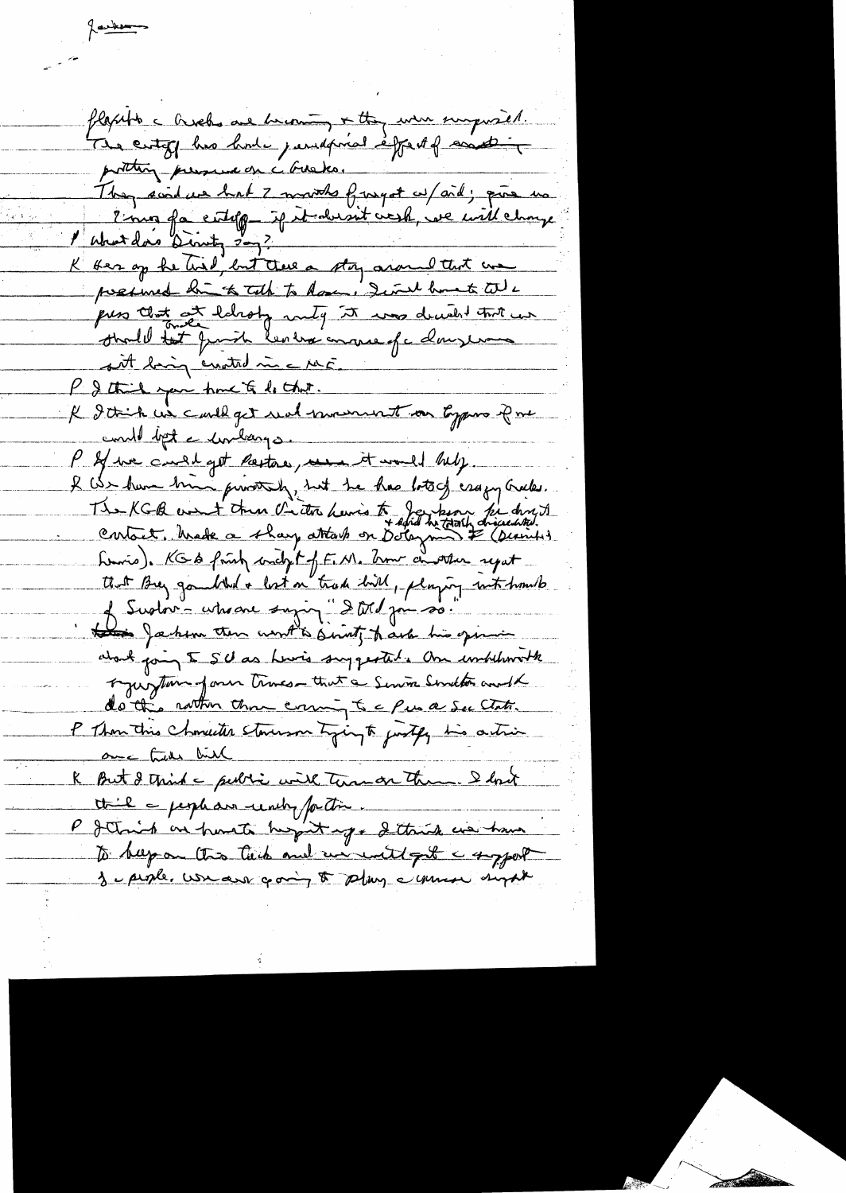flaxible c Orsels are browning + they were surprised. report des les les paragons épouses protting pressure on a Guaka. They said we had I must furgot w/aid; que no 2 mois fa citelp if it abient visit, we will change l'about don Direct, 2007.<br>K ser op he tril, but there a stoy around that we presince bi to talk to dome I will bank till puss that at labory raily it was decided that we shall tet fruit les trains et clausement sit big enoted in a ME. P & think you have to be that. R I think we cauld get und mount on types Pre conde bet a conclament P & we could get Parton, we it would help. I can have tried privately, but he has lots of essays cracks. The KGB west then criter havis to Japan per direct Luis, KGS fruit conclit of F. M. Com cineter report that Buy goudthed a lost on trade bird, playing into home to this Jackson then wont to sint hard his opinion what going 5 SU as Lewis suggested. One unhiberally regulation form times-that a Service Sweeton and K do this rather than county to a few a See Clats. P Thom this choncedes storesment tying to justify his action <u>ance true bill</u> R But & third a public with terms on them. I look thil a people due reachy for time P Jetmich an point huspit up & thick we have to hap on this tick and we will get a supert Je people. We are going to play common sugar

Jackson